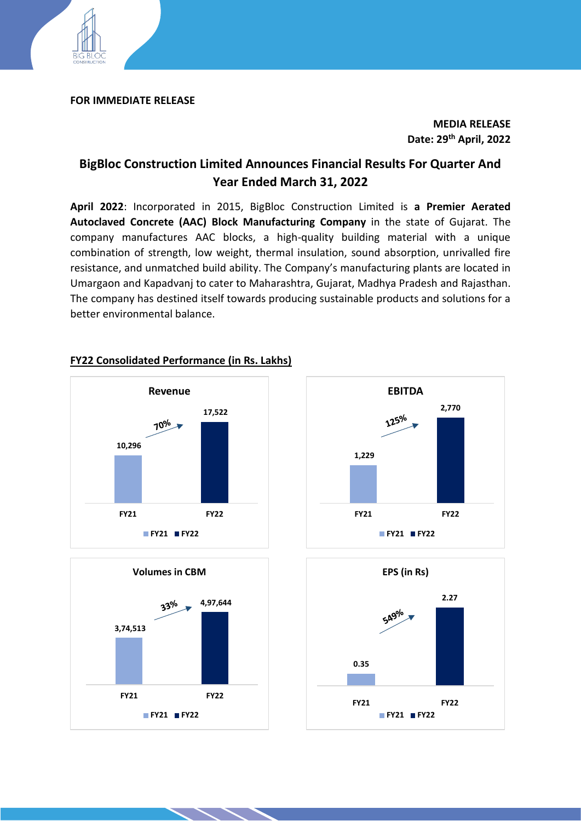

#### **FOR IMMEDIATE RELEASE**

**MEDIA RELEASE Date: 29 th April, 2022**

# **BigBloc Construction Limited Announces Financial Results For Quarter And Year Ended March 31, 2022**

**April 2022**: Incorporated in 2015, BigBloc Construction Limited is **a Premier Aerated Autoclaved Concrete (AAC) Block Manufacturing Company** in the state of Gujarat. The company manufactures AAC blocks, a high-quality building material with a unique combination of strength, low weight, thermal insulation, sound absorption, unrivalled fire resistance, and unmatched build ability. The Company's manufacturing plants are located in Umargaon and Kapadvanj to cater to Maharashtra, Gujarat, Madhya Pradesh and Rajasthan. The company has destined itself towards producing sustainable products and solutions for a better environmental balance.



# **FY22 Consolidated Performance (in Rs. Lakhs)**





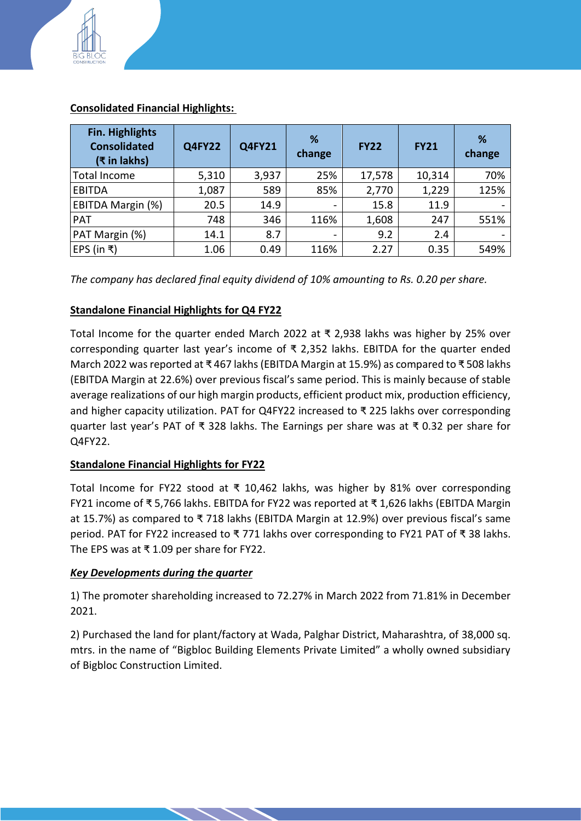

| Fin. Highlights<br><b>Consolidated</b><br>(₹ in lakhs) | <b>Q4FY22</b> | <b>Q4FY21</b> | %<br>change              | <b>FY22</b> | <b>FY21</b> | %<br>change |
|--------------------------------------------------------|---------------|---------------|--------------------------|-------------|-------------|-------------|
| <b>Total Income</b>                                    | 5,310         | 3,937         | 25%                      | 17,578      | 10,314      | 70%         |
| <b>EBITDA</b>                                          | 1,087         | 589           | 85%                      | 2,770       | 1,229       | 125%        |
| EBITDA Margin (%)                                      | 20.5          | 14.9          | $\overline{\phantom{0}}$ | 15.8        | 11.9        |             |
| <b>PAT</b>                                             | 748           | 346           | 116%                     | 1,608       | 247         | 551%        |
| PAT Margin (%)                                         | 14.1          | 8.7           |                          | 9.2         | 2.4         |             |
| EPS (in ₹)                                             | 1.06          | 0.49          | 116%                     | 2.27        | 0.35        | 549%        |

## **Consolidated Financial Highlights:**

*The company has declared final equity dividend of 10% amounting to Rs. 0.20 per share.*

### **Standalone Financial Highlights for Q4 FY22**

Total Income for the quarter ended March 2022 at ₹ 2,938 lakhs was higher by 25% over corresponding quarter last year's income of ₹ 2,352 lakhs. EBITDA for the quarter ended March 2022 was reported at ₹ 467 lakhs(EBITDA Margin at 15.9%) as compared to ₹ 508 lakhs (EBITDA Margin at 22.6%) over previous fiscal's same period. This is mainly because of stable average realizations of our high margin products, efficient product mix, production efficiency, and higher capacity utilization. PAT for Q4FY22 increased to ₹ 225 lakhs over corresponding quarter last year's PAT of ₹ 328 lakhs. The Earnings per share was at ₹ 0.32 per share for Q4FY22.

### **Standalone Financial Highlights for FY22**

Total Income for FY22 stood at ₹ 10,462 lakhs, was higher by 81% over corresponding FY21 income of ₹ 5,766 lakhs. EBITDA for FY22 was reported at ₹ 1,626 lakhs (EBITDA Margin at 15.7%) as compared to ₹ 718 lakhs (EBITDA Margin at 12.9%) over previous fiscal's same period. PAT for FY22 increased to ₹ 771 lakhs over corresponding to FY21 PAT of ₹ 38 lakhs. The EPS was at ₹ 1.09 per share for FY22.

### *Key Developments during the quarter*

1) The promoter shareholding increased to 72.27% in March 2022 from 71.81% in December 2021.

2) Purchased the land for plant/factory at Wada, Palghar District, Maharashtra, of 38,000 sq. mtrs. in the name of "Bigbloc Building Elements Private Limited" a wholly owned subsidiary of Bigbloc Construction Limited.